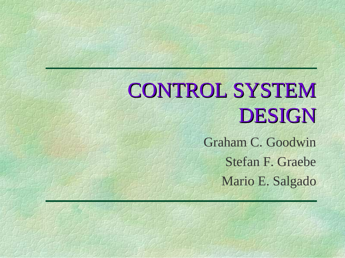# CONTROL SYSTEM DESIGN

Graham C. GoodwinStefan F. GraebeMario E. Salgado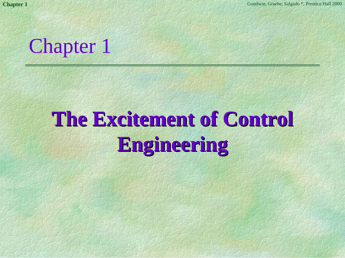

# **The Excitement of Control The Excitement of Control Engineering Engineering**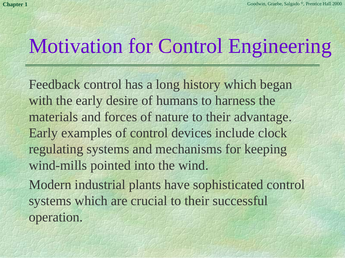## Motivation for Control Engineering

Feedback control has a long history which began with the early desire of humans to harness the materials and forces of nature to their advantage. Early examples of control devices include clock regulating systems and mechanisms for keeping wind-mills pointed into the wind. Modern industrial plants have sophisticated control systems which are crucial to their successful

operation.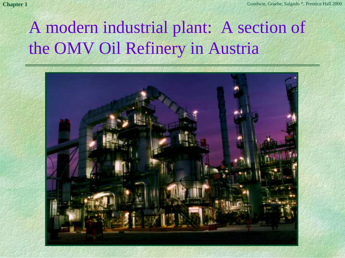### A modern industrial plant: A section of the OMV Oil Refinery in Austria

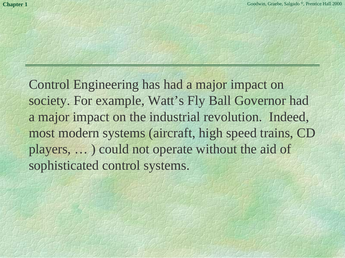Control Engineering has had a major impact on society. For example, Watt's Fly Ball Governor had a major impact on the industrial revolution. Indeed, most modern systems (aircraft, high speed trains, CD players, … ) could not operate without the aid of sophisticated control systems.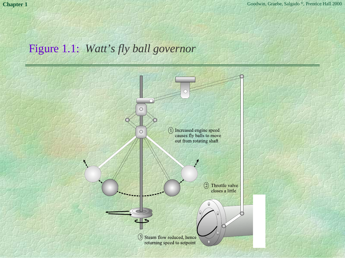#### Figure 1.1: *Watt's fly ball governor*

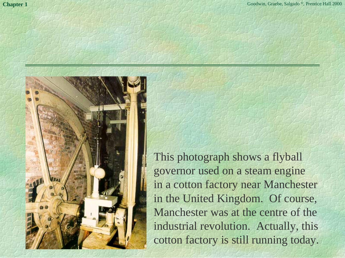

This photograph shows a flyball governor used on a steam engine in a cotton factory near Manchester in the United Kingdom. Of course, Manchester was at the centre of the industrial revolution. Actually, this cotton factory is still running today.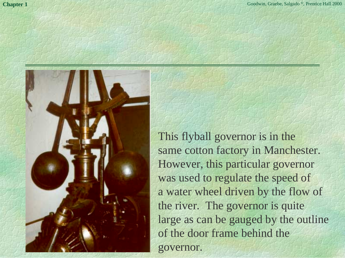

This flyball governor is in the same cotton factory in Manchester. However, this particular governor was used to regulate the speed of a water wheel driven by the flow of the river. The governor is quite large as can be gauged by the outline of the door frame behind the governor.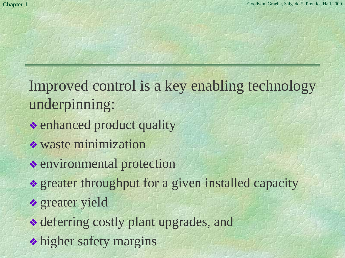- Improved control is a key enabling technology underpinning:
- ❖ enhanced product quality
- ❖ waste minimization
- ❖ environmental protection
- ❖ greater throughput for a given installed capacity
- ❖ greater yield
- ❖ deferring costly plant upgrades, and
- ❖ higher safety margins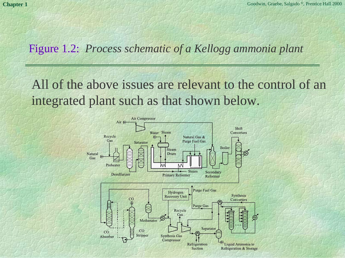#### Figure 1.2: *Process schematic of a Kellogg ammonia plant*

All of the above issues are relevant to the control of an integrated plant such as that shown below.

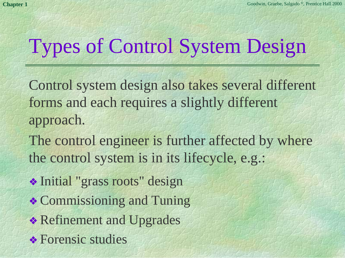# Types of Control System Design

Control system design also takes several different forms and each requires a slightly different approach.

The control engineer is further affected by where the control system is in its lifecycle, e.g.:

❖ Initial "grass roots" design

- ❖ Commissioning and Tuning
- ❖ Refinement and Upgrades
- **❖ Forensic studies**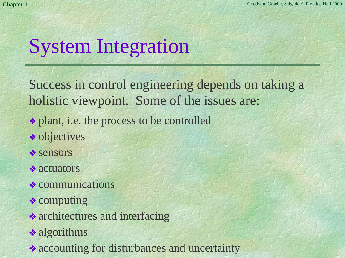# System Integration

Success in control engineering depends on taking a holistic viewpoint. Some of the issues are:

- ❖ plant, i.e. the process to be controlled
- ❖ objectives
- ❖ sensors
- ❖ actuators
- ❖ communications
- ❖ computing
- ❖ architectures and interfacing
- **❖ algorithms**
- ❖ accounting for disturbances and uncertainty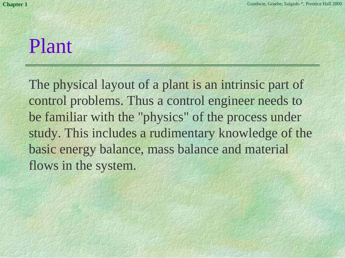### Plant

The physical layout of a plant is an intrinsic part of control problems. Thus a control engineer needs to be familiar with the "physics" of the process under study. This includes a rudimentary knowledge of the basic energy balance, mass balance and material flows in the system.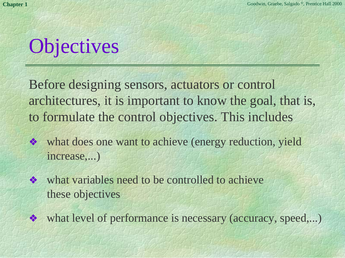# **Objectives**

Before designing sensors, actuators or control architectures, it is important to know the goal, that is, to formulate the control objectives. This includes

- ❖what does one want to achieve (energy reduction, yield increase,...)
- ❖ what variables need to be controlled to achieve these objectives
- ❖what level of performance is necessary (accuracy, speed,...)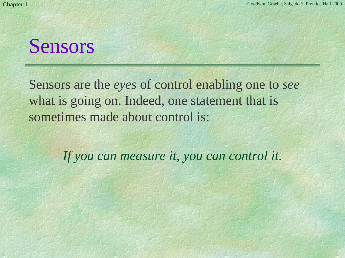### Sensors

Sensors are the *eyes* of control enabling one to *see* what is going on. Indeed, one statement that is sometimes made about control is:

*If you can measure it, you can control it*.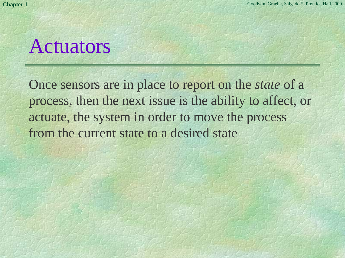### Actuators

Once sensors are in place to report on the *state* of a process, then the next issue is the ability to affect, or actuate, the system in order to move the process from the current state to a desired state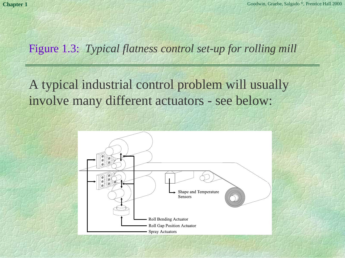#### Figure 1.3: *Typical flatness control set-up for rolling mill*

#### A typical industrial control problem will usually involve many different actuators - see below:

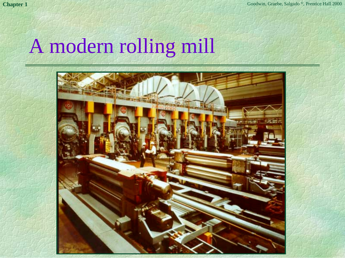### A modern rolling mill

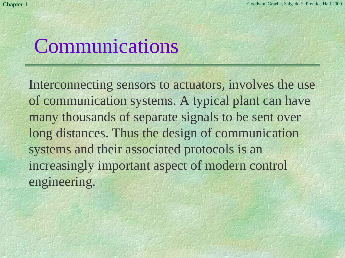### Communications

Interconnecting sensors to actuators, involves the use of communication systems. A typical plant can have many thousands of separate signals to be sent over long distances. Thus the design of communication systems and their associated protocols is an increasingly important aspect of modern control engineering.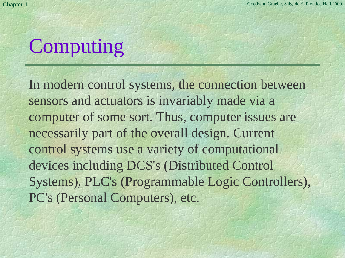# Computing

In modern control systems, the connection between sensors and actuators is invariably made via a computer of some sort. Thus, computer issues are necessarily part of the overall design. Current control systems use a variety of computational devices including DCS's (Distributed Control Systems), PLC's (Programmable Logic Controllers), PC's (Personal Computers), etc.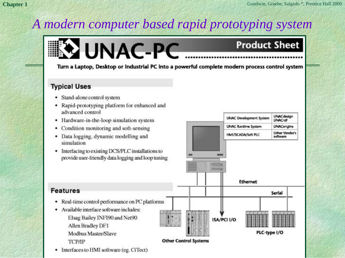### *A modern computer based rapid prototyping system*



Turn a Laptop, Desktop or Industrial PC into a powerful complete modern process control system

#### **Typical Uses**

**Features** 

ТСРЛР

- · Stand-alone control system
- Rapid-prototyping platform for enhanced and advanced control
- Hardware-in-the-loop simulation system
- Condition monitoring and soft-sensing
- Data logging, dynamic modelling and simulation
- Interfacing to existing DCS/PLC installations to provide user-friendly data logging and loop tuning



• Interfaces to HMI software (eg. CiTect)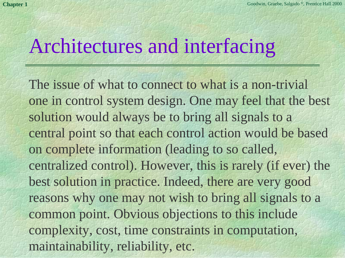### Architectures and interfacing

The issue of what to connect to what is a non-trivial one in control system design. One may feel that the best solution would always be to bring all signals to a central point so that each control action would be based on complete information (leading to so called, centralized control). However, this is rarely (if ever) the best solution in practice. Indeed, there are very good reasons why one may not wish to bring all signals to a common point. Obvious objections to this include complexity, cost, time constraints in computation, maintainability, reliability, etc.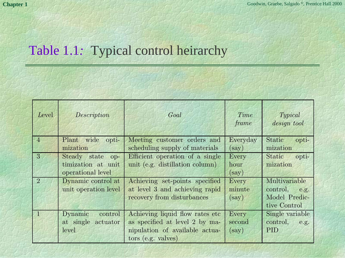#### Table 1.1*:* Typical control heirarchy

| Level          | Description                                                 | Goal                                                                                                                       | Time<br>frame            | Typical<br>design tool                                             |
|----------------|-------------------------------------------------------------|----------------------------------------------------------------------------------------------------------------------------|--------------------------|--------------------------------------------------------------------|
| $\overline{4}$ | Plant wide opti-<br>mization                                | Meeting customer orders and<br>scheduling supply of materials                                                              | Everyday<br>(say)        | Static<br>opti-<br>mization                                        |
| 3              | Steady state op-<br>timization at unit<br>operational level | Efficient operation of a single<br>unit (e.g. distillation column)                                                         | Every<br>hour<br>(say)   | Static<br>opti-<br>mization                                        |
| $\overline{2}$ | Dynamic control at<br>unit operation level                  | Achieving set-points specified<br>at level 3 and achieving rapid<br>recovery from disturbances                             | Every<br>minute<br>(say) | Multivariable<br>control,<br>e.g.<br>Model Predic-<br>tive Control |
|                | Dynamic<br>control<br>at single actuator<br>level           | Achieving liquid flow rates etc.<br>as specified at level 2 by ma-<br>nipulation of available actua-<br>tors (e.g. values) | Every<br>second<br>(say) | Single variable<br>control, e.g.<br><b>PID</b>                     |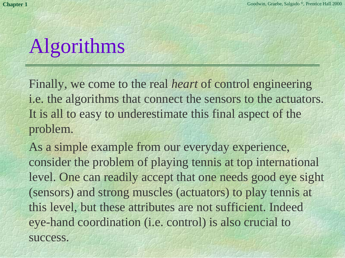# Algorithms

Finally, we come to the real *heart* of control engineering i.e. the algorithms that connect the sensors to the actuators. It is all to easy to underestimate this final aspect of the problem.

As a simple example from our everyday experience, consider the problem of playing tennis at top international level. One can readily accept that one needs good eye sight (sensors) and strong muscles (actuators) to play tennis at this level, but these attributes are not sufficient. Indeed eye-hand coordination (i.e. control) is also crucial to success.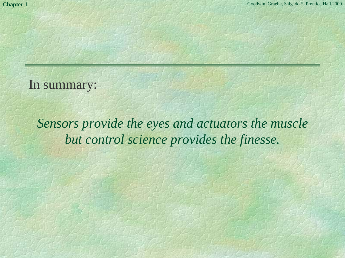#### In summary:

*Sensors provide the eyes and actuators the muscle but control science provides the finesse.*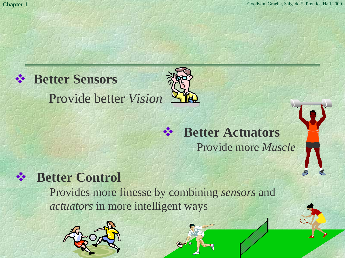### **Better Sensors**

Provide better *Vision*



#### 大 **Better Control**

Provides more finesse by combining *sensors* and *actuators* in more intelligent ways

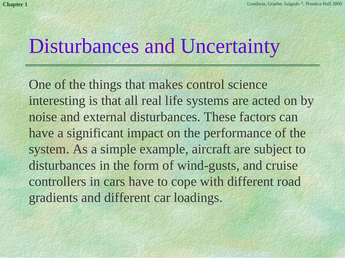### Disturbances and Uncertainty

One of the things that makes control science interesting is that all real life systems are acted on by noise and external disturbances. These factors canhave a significant impact on the performance of the system. As a simple example, aircraft are subject to disturbances in the form of wind-gusts, and cruise controllers in cars have to cope with different road gradients and different car loadings.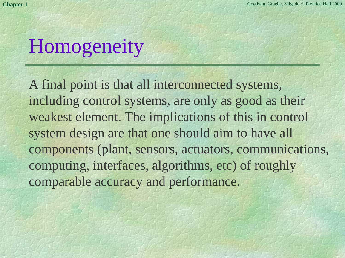# Homogeneity

A final point is that all interconnected systems, including control systems, are only as good as their weakest element. The implications of this in control system design are that one should aim to have all components (plant, sensors, actuators, communications, computing, interfaces, algorithms, etc) of roughly comparable accuracy and performance.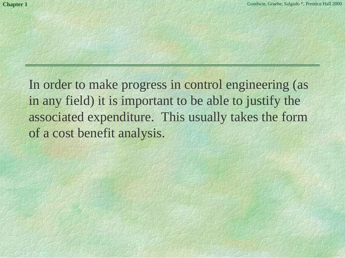In order to make progress in control engineering (as in any field) it is important to be able to justify the associated expenditure. This usually takes the form of a cost benefit analysis.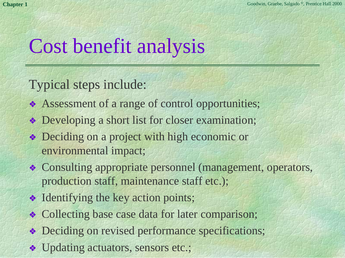## Cost benefit analysis

Typical steps include:

- ❖ Assessment of a range of control opportunities;
- ❖ Developing a short list for closer examination;
- ❖ Deciding on a project with high economic or environmental impact;
- ❖ Consulting appropriate personnel (management, operators, production staff, maintenance staff etc.);
- ❖ Identifying the key action points;
- ❖ Collecting base case data for later comparison;
- ❖ Deciding on revised performance specifications;
- ❖ Updating actuators, sensors etc.;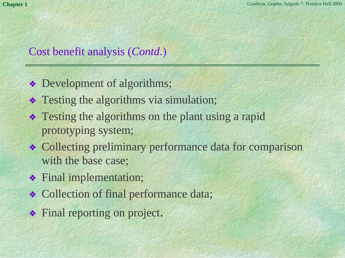#### Cost benefit analysis (*Contd*.)

- ❖ Development of algorithms;
- ❖ Testing the algorithms via simulation;
- ❖ Testing the algorithms on the plant using a rapid prototyping system;
- ❖ Collecting preliminary performance data for comparison with the base case;
- ❖ Final implementation;
- ❖ Collection of final performance data;
- ❖ Final reporting on project.